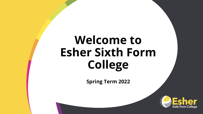# **Welcome to Esher Sixth Form College**

**Spring Term 2022**

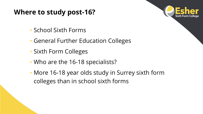### **Where to study post-16?**



- School Sixth Forms
- General Further Education Colleges
- Sixth Form Colleges
- Who are the 16-18 specialists?
- More 16-18 year olds study in Surrey sixth form colleges than in school sixth forms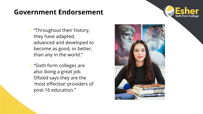### **Government Endorsement**



- "Throughout their history, they have adapted, advanced and developed to become as good, or better, than any in the world."
- "Sixth form colleges are also doing a great job. Ofsted says they are the 'most effective' providers of post-16 education."

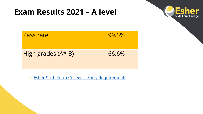## **Exam Results 2021 – A level**



| <b>Pass rate</b>   | 99.5% |
|--------------------|-------|
| High grades (A*-B) | 66.6% |

• [Esher Sixth Form College | Entry Requirements](https://www.esher.ac.uk/admissions/2022/Pages/entry-requirements.aspx)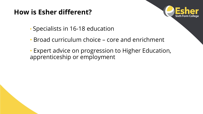## **How is Esher different?**



- Specialists in 16-18 education
- Broad curriculum choice core and enrichment
- Expert advice on progression to Higher Education, apprenticeship or employment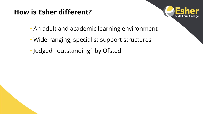## **How is Esher different?**



- An adult and academic learning environment
- Wide-ranging, specialist support structures
- Judged 'outstanding' by Ofsted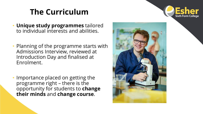## **The Curriculum**



- **Unique study programmes** tailored to individual interests and abilities.
- Planning of the programme starts with Admissions Interview, reviewed at Introduction Day and finalised at Enrolment.
- Importance placed on getting the programme right – there is the opportunity for students to **change their minds** and **change course**.

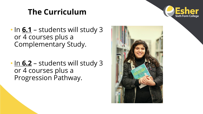## **The Curriculum**



- In **6.1** students will study 3 or 4 courses plus a Complementary Study.
- In **6.2** students will study 3 or 4 courses plus a Progression Pathway.

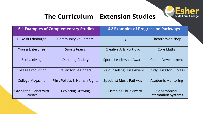

### **The Curriculum – Extension Studies**

| <b>6:1 Examples of Complementary Studies</b> |                               | <b>6.2 Examples of Progression Pathways</b> |                                            |  |
|----------------------------------------------|-------------------------------|---------------------------------------------|--------------------------------------------|--|
| Duke of Edinburgh                            | <b>Community Volunteers</b>   | <b>EPQ</b>                                  | <b>Theatre Workshop</b>                    |  |
| <b>Young Enterprise</b>                      | Sports teams                  | <b>Creative Arts Portfolio</b>              | <b>Core Maths</b>                          |  |
| Scuba diving                                 | <b>Debating Society</b>       | <b>Sports Leadership Award</b>              | <b>Career Development</b>                  |  |
| <b>College Production</b>                    | Italian for Beginners         | L2 Counselling Skills Award                 | <b>Study Skills for Success</b>            |  |
| <b>College Magazine</b>                      | Film, Politics & Human Rights | <b>Specialist Music Pathway</b>             | <b>Academic Mentoring</b>                  |  |
| Saving the Planet with<br><b>Science</b>     | <b>Exploring Drawing</b>      | L2 Listening Skills Award                   | Geographical<br><b>Information Systems</b> |  |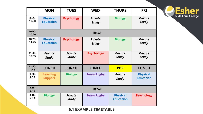|                    | <b>MON</b>                          | <b>TUES</b>                    | <b>WED</b>                     | <b>THURS</b>                        | <b>FRI</b>                          |
|--------------------|-------------------------------------|--------------------------------|--------------------------------|-------------------------------------|-------------------------------------|
| $8.55 -$<br>10.00  | <b>Physical</b><br><b>Education</b> | <b>Psychology</b>              | <b>Private</b><br><b>Study</b> | <b>Biology</b>                      | <b>Private</b><br><b>Study</b>      |
| $10.00 -$<br>10.20 | <b>BREAK</b>                        |                                |                                |                                     |                                     |
| $10.20 -$<br>11.25 | <b>Physical</b><br><b>Education</b> | <b>Psychology</b>              | <b>Private</b><br><b>Study</b> | <b>Biology</b>                      | <b>Private</b><br><b>Study</b>      |
| $11.30 -$<br>12.35 | <b>Private</b><br><b>Study</b>      | <b>Private</b><br><b>Study</b> | <b>Psychology</b>              | <b>Private</b><br><b>Study</b>      | <b>Private</b><br><b>Study</b>      |
| $12.40 -$<br>1.45  | <b>LUNCH</b>                        | <b>LUNCH</b>                   | <b>LUNCH</b>                   | <b>PDP</b>                          | <b>LUNCH</b>                        |
| $1.50 -$<br>2.55   | <b>Learning</b><br><b>Support</b>   | <b>Biology</b>                 | <b>Team Rugby</b>              | <b>Private</b><br><b>Study</b>      | <b>Physical</b><br><b>Education</b> |
| $2.55 -$<br>3.10   | <b>BREAK</b>                        |                                |                                |                                     |                                     |
| $3.10 -$<br>4.15   | <b>Biology</b>                      | <b>Private</b><br><b>Study</b> | <b>Team Rugby</b>              | <b>Physical</b><br><b>Education</b> | <b>Psychology</b>                   |

**6.1 EXAMPLE TIMETABLE**

# C Esher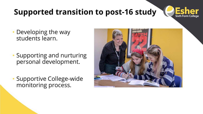## **Supported transition to post-16 study**



- Developing the way students learn.
- Supporting and nurturing personal development.
- Supportive College-wide monitoring process.

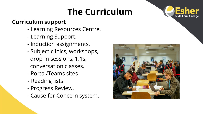## **The Curriculum**



#### **Curriculum support**

- Learning Resources Centre.
- Learning Support.
- Induction assignments.
- Subject clinics, workshops, drop-in sessions, 1:1s, conversation classes.
- Portal/Teams sites
- Reading lists.
- Progress Review.
- Cause for Concern system.

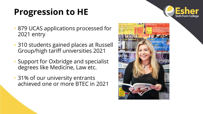# **Progression to HE**



- 879 UCAS applications processed for 2021 entry
- 310 students gained places at Russell Group/high tariff universities 2021
- Support for Oxbridge and specialist degrees like Medicine, Law etc.
- 31% of our university entrants achieved one or more BTEC in 2021

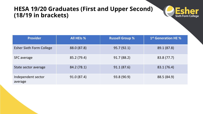#### **HESA 19/20 Graduates (First and Upper Second) (18/19 in brackets)**



| <b>Provider</b>                 | All HEIs %  | <b>Russell Group %</b> | 1 <sup>st</sup> Generation HE % |
|---------------------------------|-------------|------------------------|---------------------------------|
| <b>Esher Sixth Form College</b> | 88.0 (87.8) | 95.7(92.1)             | 89.1 (87.8)                     |
| <b>SFC</b> average              | 85.2 (79.4) | 91.7(88.2)             | 83.8 (77.7)                     |
| State sector average            | 84.2 (78.1) | 91.1(87.6)             | 83.1 (76.4)                     |
| Independent sector<br>average   | 91.0(87.4)  | 93.8 (90.9)            | 88.5 (84.9)                     |